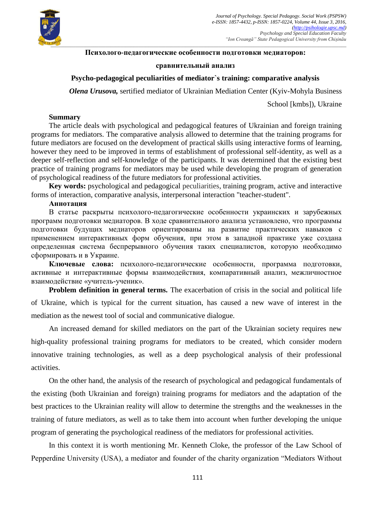

## **Психолого-педагогические особенности подготовки медиаторов:**

## **сравнительный анализ**

## **Psycho-pedagogical peculiarities of mediator`s training: comparative analysis**

*Olena Urusova,* sertified mediator of Ukrainian Mediation Center (Kyiv-Mohyla Business

School [kmbs]), Ukraine

#### **Summary**

The article deals with psychological and pedagogical features of Ukrainian and foreign training programs for mediators. The comparative analysis allowed to determine that the training programs for future mediators are focused on the development of practical skills using interactive forms of learning, however they need to be improved in terms of establishment of professional self-identity, as well as a deeper self-reflection and self-knowledge of the participants. It was determined that the existing best practice of training programs for mediators may be used while developing the program of generation of psychological readiness of the future mediators for professional activities.

**Key words:** psychological and pedagogical peculiarities, training program, active and interactive forms of interaction, comparative analysis, interpersonal interaction "teacher-student".

# **Аннотация**

В статье раскрыты психолого-педагогические особенности украинских и зарубежных программ подготовки медиаторов. В ходе сравнительного анализа установлено, что программы подготовки будущих медиаторов ориентированы на развитие практических навыков с применением интерактивных форм обучения, при этом в западной практике уже создана определенная система беспрерывного обучения таких специалистов, которую необходимо сформировать и в Украине.

**Ключевые слова:** психолого-педагогические особенности, программа подготовки, активные и интерактивные формы взаимодействия, компаративный анализ, межличностное взаимодействие «учитель-ученик».

**Problem definition in general terms.** The exacerbation of crisis in the social and political life of Ukraine, which is typical for the current situation, has caused a new wave of interest in the mediation as the newest tool of social and communicative dialogue.

An increased demand for skilled mediators on the part of the Ukrainian society requires new high-quality professional training programs for mediators to be created, which consider modern innovative training technologies, as well as a deep psychological analysis of their professional activities.

On the other hand, the analysis of the research of psychological and pedagogical fundamentals of the existing (both Ukrainian and foreign) training programs for mediators and the adaptation of the best practices to the Ukrainian reality will allow to determine the strengths and the weaknesses in the training of future mediators, as well as to take them into account when further developing the unique program of generating the psychological readiness of the mediators for professional activities.

In this context it is worth mentioning Mr. Kenneth Cloke, the professor of the Law School of Pepperdine University (USA), a mediator and founder of the charity organization "Mediators Without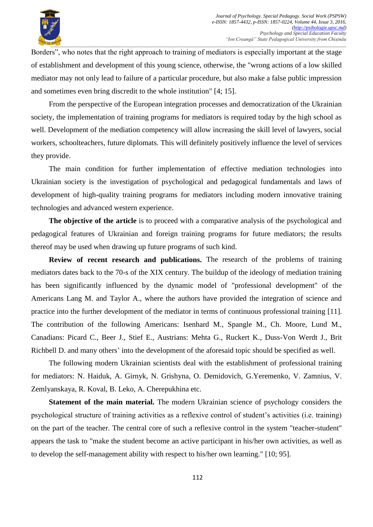

Borders", who notes that the right approach to training of mediators is especially important at the stage of establishment and development of this young science, otherwise, the "wrong actions of a low skilled mediator may not only lead to failure of a particular procedure, but also make a false public impression and sometimes even bring discredit to the whole institution" [4; 15].

From the perspective of the European integration processes and democratization of the Ukrainian society, the implementation of training programs for mediators is required today by the high school as well. Development of the mediation competency will allow increasing the skill level of lawyers, social workers, schoolteachers, future diplomats. This will definitely positively influence the level of services they provide.

The main condition for further implementation of effective mediation technologies into Ukrainian society is the investigation of psychological and pedagogical fundamentals and laws of development of high-quality training programs for mediators including modern innovative training technologies and advanced western experience.

**The objective of the article** is to proceed with a comparative analysis of the psychological and pedagogical features of Ukrainian and foreign training programs for future mediators; the results thereof may be used when drawing up future programs of such kind.

**Review of recent research and publications.** The research of the problems of training mediators dates back to the 70-s of the XIX century. The buildup of the ideology of mediation training has been significantly influenced by the dynamic model of "professional development" of the Americans Lang M. and Taylor A., where the authors have provided the integration of science and practice into the further development of the mediator in terms of continuous professional training [11]. The contribution of the following Americans: Isenhard M., Spangle M., Ch. Moore, Lund M., Canadians: Picard C., Beer J., Stief E., Austrians: Mehta G., Ruckert K., Duss-Von Werdt J., Brit Richbell D. and many others' into the development of the aforesaid topic should be specified as well.

The following modern Ukrainian scientists deal with the establishment of professional training for mediators: N. Haiduk, A. Girnyk, N. Grishyna, O. Demidovich, G.Yeremenko, V. Zamnius, V. Zemlyanskaya, R. Koval, B. Leko, A. Cherepukhina etc.

**Statement of the main material.** The modern Ukrainian science of psychology considers the psychological structure of training activities as a reflexive control of student's activities (i.e. training) on the part of the teacher. The central core of such a reflexive control in the system "teacher-student" appears the task to "make the student become an active participant in his/her own activities, as well as to develop the self-management ability with respect to his/her own learning." [10; 95].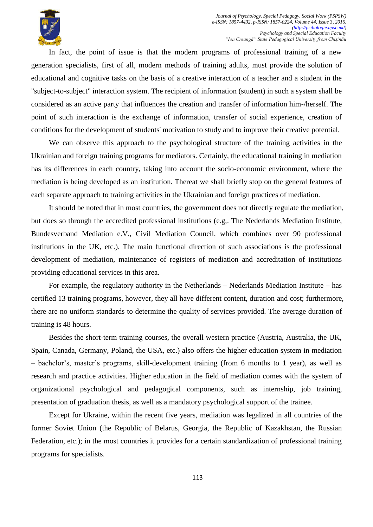

In fact, the point of issue is that the modern programs of professional training of a new generation specialists, first of all, modern methods of training adults, must provide the solution of educational and cognitive tasks on the basis of a creative interaction of a teacher and a student in the "subject-to-subject" interaction system. The recipient of information (student) in such a system shall be considered as an active party that influences the creation and transfer of information him-/herself. The point of such interaction is the exchange of information, transfer of social experience, creation of conditions for the development of students' motivation to study and to improve their creative potential.

We can observe this approach to the psychological structure of the training activities in the Ukrainian and foreign training programs for mediators. Certainly, the educational training in mediation has its differences in each country, taking into account the socio-economic environment, where the mediation is being developed as an institution. Thereat we shall briefly stop on the general features of each separate approach to training activities in the Ukrainian and foreign practices of mediation.

It should be noted that in most countries, the government does not directly regulate the mediation, but does so through the accredited professional institutions (e.g,. The Nederlands Mediation Institute, Bundesverband Mediation e.V., Civil Mediation Council, which combines over 90 professional institutions in the UK, etc.). The main functional direction of such associations is the professional development of mediation, maintenance of registers of mediation and accreditation of institutions providing educational services in this area.

For example, the regulatory authority in the Netherlands – Nederlands Mediation Institute – has certified 13 training programs, however, they all have different content, duration and cost; furthermore, there are no uniform standards to determine the quality of services provided. The average duration of training is 48 hours.

Besides the short-term training courses, the overall western practice (Austria, Australia, the UK, Spain, Canada, Germany, Poland, the USA, etc.) also offers the higher education system in mediation – bachelor's, master's programs, skill-development training (from 6 months to 1 year), as well as research and practice activities. Higher education in the field of mediation comes with the system of organizational psychological and pedagogical components, such as internship, job training, presentation of graduation thesis, as well as a mandatory psychological support of the trainee.

Except for Ukraine, within the recent five years, mediation was legalized in all countries of the former Soviet Union (the Republic of Belarus, Georgia, the Republic of Kazakhstan, the Russian Federation, etc.); in the most countries it provides for a certain standardization of professional training programs for specialists.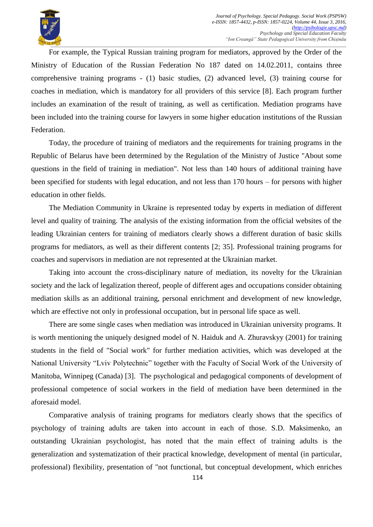

For example, the Typical Russian training program for mediators, approved by the Order of the Ministry of Education of the Russian Federation No 187 dated on 14.02.2011, contains three comprehensive training programs - (1) basic studies, (2) advanced level, (3) training course for coaches in mediation, which is mandatory for all providers of this service [8]. Each program further includes an examination of the result of training, as well as certification. Mediation programs have been included into the training course for lawyers in some higher education institutions of the Russian Federation.

Today, the procedure of training of mediators and the requirements for training programs in the Republic of Belarus have been determined by the Regulation of the Ministry of Justice "About some questions in the field of training in mediation". Not less than 140 hours of additional training have been specified for students with legal education, and not less than 170 hours – for persons with higher education in other fields.

The Mediation Community in Ukraine is represented today by experts in mediation of different level and quality of training. The analysis of the existing information from the official websites of the leading Ukrainian centers for training of mediators clearly shows a different duration of basic skills programs for mediators, as well as their different contents [2; 35]. Professional training programs for coaches and supervisors in mediation are not represented at the Ukrainian market.

Taking into account the cross-disciplinary nature of mediation, its novelty for the Ukrainian society and the lack of legalization thereof, people of different ages and occupations consider obtaining mediation skills as an additional training, personal enrichment and development of new knowledge, which are effective not only in professional occupation, but in personal life space as well.

There are some single cases when mediation was introduced in Ukrainian university programs. It is worth mentioning the uniquely designed model of N. Haiduk and A. Zhuravskyy (2001) for training students in the field of "Social work" for further mediation activities, which was developed at the National University "Lviv Polytechnic" together with the Faculty of Social Work of the University of Manitoba, Winnipeg (Canada) [3]. The psychological and pedagogical components of development of professional competence of social workers in the field of mediation have been determined in the aforesaid model.

Comparative analysis of training programs for mediators clearly shows that the specifics of psychology of training adults are taken into account in each of those. S.D. Maksimenko, an outstanding Ukrainian psychologist, has noted that the main effect of training adults is the generalization and systematization of their practical knowledge, development of mental (in particular, professional) flexibility, presentation of "not functional, but conceptual development, which enriches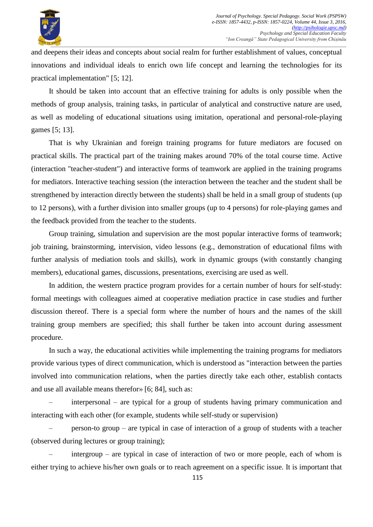

and deepens their ideas and concepts about social realm for further establishment of values, conceptual innovations and individual ideals to enrich own life concept and learning the technologies for its practical implementation" [5; 12].

It should be taken into account that an effective training for adults is only possible when the methods of group analysis, training tasks, in particular of analytical and constructive nature are used, as well as modeling of educational situations using imitation, operational and personal-role-playing games [5; 13].

That is why Ukrainian and foreign training programs for future mediators are focused on practical skills. The practical part of the training makes around 70% of the total course time. Active (interaction "teacher-student") and interactive forms of teamwork are applied in the training programs for mediators. Interactive teaching session (the interaction between the teacher and the student shall be strengthened by interaction directly between the students) shall be held in a small group of students (up to 12 persons), with a further division into smaller groups (up to 4 persons) for role-playing games and the feedback provided from the teacher to the students.

Group training, simulation and supervision are the most popular interactive forms of teamwork; job training, brainstorming, intervision, video lessons (e.g., demonstration of educational films with further analysis of mediation tools and skills), work in dynamic groups (with constantly changing members), educational games, discussions, presentations, exercising are used as well.

In addition, the western practice program provides for a certain number of hours for self-study: formal meetings with colleagues aimed at cooperative mediation practice in case studies and further discussion thereof. There is a special form where the number of hours and the names of the skill training group members are specified; this shall further be taken into account during assessment procedure.

In such a way, the educational activities while implementing the training programs for mediators provide various types of direct communication, which is understood as "interaction between the parties involved into communication relations, when the parties directly take each other, establish contacts and use all available means therefor» [6; 84], such as:

– interpersonal – are typical for a group of students having primary communication and interacting with each other (for example, students while self-study or supervision)

– person-to group – are typical in case of interaction of a group of students with a teacher (observed during lectures or group training);

– intergroup – are typical in case of interaction of two or more people, each of whom is either trying to achieve his/her own goals or to reach agreement on a specific issue. It is important that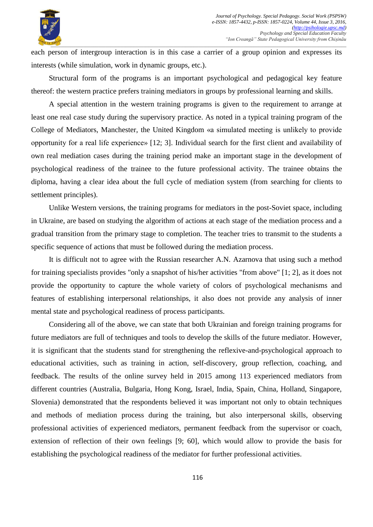

each person of intergroup interaction is in this case a carrier of a group opinion and expresses its interests (while simulation, work in dynamic groups, etc.).

Structural form of the programs is an important psychological and pedagogical key feature thereof: the western practice prefers training mediators in groups by professional learning and skills.

A special attention in the western training programs is given to the requirement to arrange at least one real case study during the supervisory practice. As noted in a typical training program of the College of Mediators, Manchester, the United Kingdom «a simulated meeting is unlikely to provide opportunity for a real life experience» [12; 3]. Individual search for the first client and availability of own real mediation cases during the training period make an important stage in the development of psychological readiness of the trainee to the future professional activity. The trainee obtains the diploma, having a clear idea about the full cycle of mediation system (from searching for clients to settlement principles).

Unlike Western versions, the training programs for mediators in the post-Soviet space, including in Ukraine, are based on studying the algorithm of actions at each stage of the mediation process and a gradual transition from the primary stage to completion. The teacher tries to transmit to the students a specific sequence of actions that must be followed during the mediation process.

It is difficult not to agree with the Russian researcher A.N. Azarnova that using such a method for training specialists provides "only a snapshot of his/her activities "from above" [1; 2], as it does not provide the opportunity to capture the whole variety of colors of psychological mechanisms and features of establishing interpersonal relationships, it also does not provide any analysis of inner mental state and psychological readiness of process participants.

Considering all of the above, we can state that both Ukrainian and foreign training programs for future mediators are full of techniques and tools to develop the skills of the future mediator. However, it is significant that the students stand for strengthening the reflexive-and-psychological approach to educational activities, such as training in action, self-discovery, group reflection, coaching, and feedback. The results of the online survey held in 2015 among 113 experienced mediators from different countries (Australia, Bulgaria, Hong Kong, Israel, India, Spain, China, Holland, Singapore, Slovenia) demonstrated that the respondents believed it was important not only to obtain techniques and methods of mediation process during the training, but also interpersonal skills, observing professional activities of experienced mediators, permanent feedback from the supervisor or coach, extension of reflection of their own feelings [9; 60], which would allow to provide the basis for establishing the psychological readiness of the mediator for further professional activities.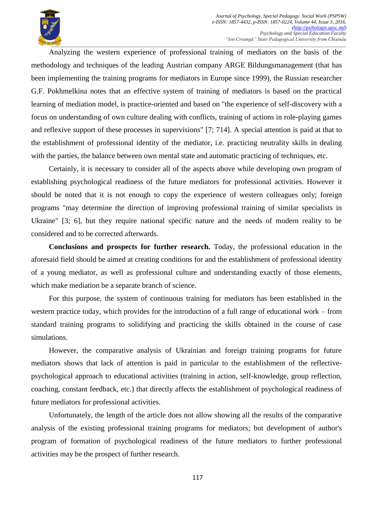

Analyzing the western experience of professional training of mediators on the basis of the methodology and techniques of the leading Austrian company ARGE Bildungsmanagement (that has been implementing the training programs for mediators in Europe since 1999), the Russian researcher G.F. Pokhmelkina notes that an effective system of training of mediators is based on the practical learning of mediation model, is practice-oriented and based on "the experience of self-discovery with a focus on understanding of own culture dealing with conflicts, training of actions in role-playing games and reflexive support of these processes in supervisions" [7; 714]. A special attention is paid at that to the establishment of professional identity of the mediator, i.e. practicing neutrality skills in dealing with the parties, the balance between own mental state and automatic practicing of techniques, etc.

Certainly, it is necessary to consider all of the aspects above while developing own program of establishing psychological readiness of the future mediators for professional activities. However it should be noted that it is not enough to copy the experience of western colleagues only; foreign programs "may determine the direction of improving professional training of similar specialists in Ukraine" [3; 6], but they require national specific nature and the needs of modern reality to be considered and to be corrected afterwards.

**Conclusions and prospects for further research.** Today, the professional education in the aforesaid field should be aimed at creating conditions for and the establishment of professional identity of a young mediator, as well as professional culture and understanding exactly of those elements, which make mediation be a separate branch of science.

For this purpose, the system of continuous training for mediators has been established in the western practice today, which provides for the introduction of a full range of educational work – from standard training programs to solidifying and practicing the skills obtained in the course of case simulations.

However, the comparative analysis of Ukrainian and foreign training programs for future mediators shows that lack of attention is paid in particular to the establishment of the reflectivepsychological approach to educational activities (training in action, self-knowledge, group reflection, coaching, constant feedback, etc.) that directly affects the establishment of psychological readiness of future mediators for professional activities.

Unfortunately, the length of the article does not allow showing all the results of the comparative analysis of the existing professional training programs for mediators; but development of author's program of formation of psychological readiness of the future mediators to further professional activities may be the prospect of further research.